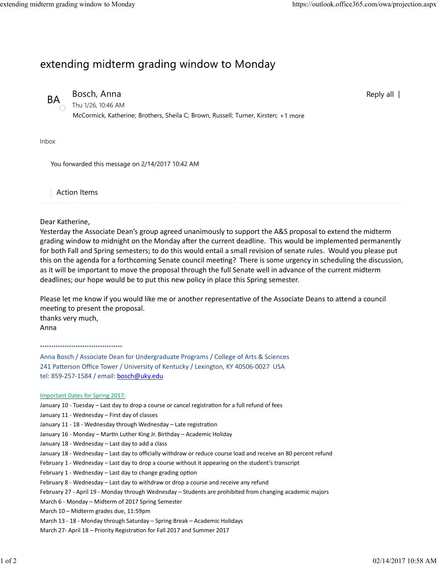Reply all |

## extending midterm grading window to Monday



BA Bosch, Anna

Thu 1/26, 10:46 AM McCormick, Katherine; Brothers, Sheila C; Brown, Russell; Turner, Kirsten; +1 more

Inbox

You forwarded this message on 2/14/2017 10:42 AM

Action Items

Dear Katherine,

Yesterday the Associate Dean's group agreed unanimously to support the A&S proposal to extend the midterm grading window to midnight on the Monday after the current deadline. This would be implemented permanently for both Fall and Spring semesters; to do this would entail a small revision of senate rules. Would you please put this on the agenda for a forthcoming Senate council meeting? There is some urgency in scheduling the discussion, as it will be important to move the proposal through the full Senate well in advance of the current midterm deadlines; our hope would be to put this new policy in place this Spring semester.

Please let me know if you would like me or another representative of the Associate Deans to attend a council meeting to present the proposal. thanks very much,

Anna

\*\*\*\*\*\*\*\*\*\*\*\*\*\*\*\*\*\*\*\*\*\*\*\*\*\*\*\*\*\*\*\*\*\*\*\*\*

Anna Bosch / Associate Dean for Undergraduate Programs / College of Arts & Sciences 241 Patterson Office Tower / University of Kentucky / Lexington, KY 40506-0027 USA tel: 859‐257‐1584 / email: bosch@uky.edu

## Important Dates for Spring 2017:

- January 10 Tuesday Last day to drop a course or cancel registration for a full refund of fees
- January 11 ‐ Wednesday First day of classes
- January 11 18 Wednesday through Wednesday Late registration
- January 16 Monday Martin Luther King Jr. Birthday Academic Holiday
- January 18 ‐ Wednesday Last day to add a class
- January 18 ‐ Wednesday Last day to officially withdraw or reduce course load and receive an 80 percent refund
- February 1 Wednesday Last day to drop a course without it appearing on the student's transcript
- February 1 Wednesday Last day to change grading option
- February 8 Wednesday Last day to withdraw or drop a course and receive any refund
- February 27 ‐ April 19 ‐ Monday through Wednesday Students are prohibited from changing academic majors
- March 6 ‐ Monday Midterm of 2017 Spring Semester
- March 10 Midterm grades due, 11:59pm
- March 13 ‐ 18 ‐ Monday through Saturday Spring Break Academic Holidays
- March 27- April 18 Priority Registration for Fall 2017 and Summer 2017